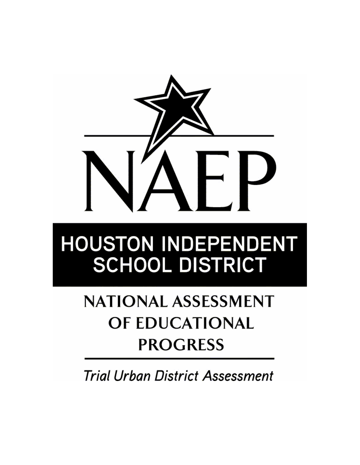

# **HOUSTON INDEPENDENT SCHOOL DISTRICT**

## **NATIONAL ASSESSMENT** OF EDUCATIONAL **PROGRESS**

**Trial Urban District Assessment**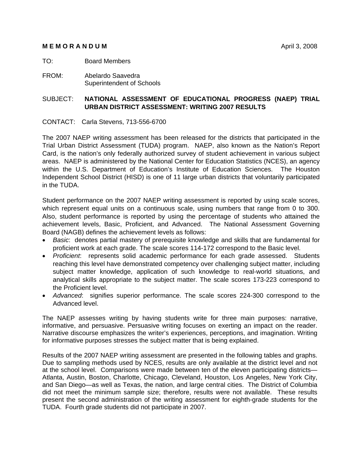#### **MEMORANDUM** April 3, 2008

#### TO: Board Members

FROM: Abelardo Saavedra Superintendent of Schools

#### SUBJECT: **NATIONAL ASSESSMENT OF EDUCATIONAL PROGRESS (NAEP) TRIAL URBAN DISTRICT ASSESSMENT: WRITING 2007 RESULTS**

CONTACT: Carla Stevens, 713-556-6700

The 2007 NAEP writing assessment has been released for the districts that participated in the Trial Urban District Assessment (TUDA) program. NAEP, also known as the Nation's Report Card, is the nation's only federally authorized survey of student achievement in various subject areas. NAEP is administered by the National Center for Education Statistics (NCES), an agency within the U.S. Department of Education's Institute of Education Sciences. The Houston Independent School District (HISD) is one of 11 large urban districts that voluntarily participated in the TUDA.

Student performance on the 2007 NAEP writing assessment is reported by using scale scores, which represent equal units on a continuous scale, using numbers that range from 0 to 300. Also, student performance is reported by using the percentage of students who attained the achievement levels, Basic, Proficient, and Advanced. The National Assessment Governing Board (NAGB) defines the achievement levels as follows:

- *Basic*: denotes partial mastery of prerequisite knowledge and skills that are fundamental for proficient work at each grade. The scale scores 114-172 correspond to the Basic level.
- *Proficient*: represents solid academic performance for each grade assessed. Students reaching this level have demonstrated competency over challenging subject matter, including subject matter knowledge, application of such knowledge to real-world situations, and analytical skills appropriate to the subject matter. The scale scores 173-223 correspond to the Proficient level.
- *Advanced*: signifies superior performance. The scale scores 224-300 correspond to the Advanced level.

The NAEP assesses writing by having students write for three main purposes: narrative, informative, and persuasive. Persuasive writing focuses on exerting an impact on the reader. Narrative discourse emphasizes the writer's experiences, perceptions, and imagination. Writing for informative purposes stresses the subject matter that is being explained.

Results of the 2007 NAEP writing assessment are presented in the following tables and graphs. Due to sampling methods used by NCES, results are only available at the district level and not at the school level. Comparisons were made between ten of the eleven participating districts— Atlanta, Austin, Boston, Charlotte, Chicago, Cleveland, Houston, Los Angeles, New York City, and San Diego—as well as Texas, the nation, and large central cities. The District of Columbia did not meet the minimum sample size; therefore, results were not available. These results present the second administration of the writing assessment for eighth-grade students for the TUDA. Fourth grade students did not participate in 2007.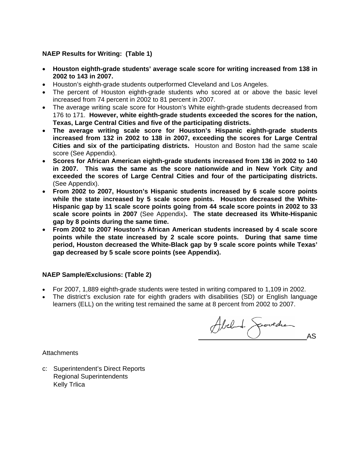#### **NAEP Results for Writing: (Table 1)**

- **Houston eighth-grade students' average scale score for writing increased from 138 in 2002 to 143 in 2007.**
- Houston's eighth-grade students outperformed Cleveland and Los Angeles.
- The percent of Houston eighth-grade students who scored at or above the basic level increased from 74 percent in 2002 to 81 percent in 2007.
- The average writing scale score for Houston's White eighth-grade students decreased from 176 to 171. **However, white eighth-grade students exceeded the scores for the nation, Texas, Large Central Cities and five of the participating districts.**
- **The average writing scale score for Houston's Hispanic eighth-grade students increased from 132 in 2002 to 138 in 2007, exceeding the scores for Large Central Cities and six of the participating districts.** Houston and Boston had the same scale score (See Appendix).
- **Scores for African American eighth-grade students increased from 136 in 2002 to 140 in 2007. This was the same as the score nationwide and in New York City and exceeded the scores of Large Central Cities and four of the participating districts.** (See Appendix).
- **From 2002 to 2007, Houston's Hispanic students increased by 6 scale score points while the state increased by 5 scale score points. Houston decreased the White-Hispanic gap by 11 scale score points going from 44 scale score points in 2002 to 33 scale score points in 2007** (See Appendix)**. The state decreased its White-Hispanic gap by 8 points during the same time.**
- **From 2002 to 2007 Houston's African American students increased by 4 scale score points while the state increased by 2 scale score points. During that same time period, Houston decreased the White-Black gap by 9 scale score points while Texas' gap decreased by 5 scale score points (see Appendix).**

#### **NAEP Sample/Exclusions: (Table 2)**

- For 2007, 1,889 eighth-grade students were tested in writing compared to 1,109 in 2002.
- The district's exclusion rate for eighth graders with disabilities (SD) or English language learners (ELL) on the writing test remained the same at 8 percent from 2002 to 2007.

Abel de Geovedrand

**Attachments** 

c: Superintendent's Direct Reports Regional Superintendents Kelly Trlica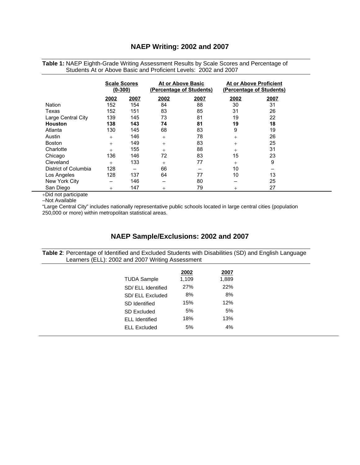#### **NAEP Writing: 2002 and 2007**

|                      | <b>Scale Scores</b><br>$(0 - 300)$ |      | At or Above Basic<br>(Percentage of Students) |      | <b>At or Above Proficient</b><br>(Percentage of Students) |      |
|----------------------|------------------------------------|------|-----------------------------------------------|------|-----------------------------------------------------------|------|
|                      | 2002                               | 2007 | 2002                                          | 2007 | 2002                                                      | 2007 |
| Nation               | 152                                | 154  | 84                                            | 88   | 30                                                        | 31   |
| Texas                | 152                                | 151  | 83                                            | 85   | 31                                                        | 26   |
| Large Central City   | 139                                | 145  | 73                                            | 81   | 19                                                        | 22   |
| <b>Houston</b>       | 138                                | 143  | 74                                            | 81   | 19                                                        | 18   |
| Atlanta              | 130                                | 145  | 68                                            | 83   | 9                                                         | 19   |
| Austin               | $+$                                | 146  | $^{+}$                                        | 78   | $+$                                                       | 26   |
| <b>Boston</b>        | $+$                                | 149  | $^{+}$                                        | 83   | $+$                                                       | 25   |
| Charlotte            | $^{+}$                             | 155  | $^{+}$                                        | 88   | $^{+}$                                                    | 31   |
| Chicago              | 136                                | 146  | 72                                            | 83   | 15                                                        | 23   |
| Cleveland            | $^{+}$                             | 133  | $^{+}$                                        | 77   | $^{+}$                                                    | 9    |
| District of Columbia | 128                                |      | 66                                            |      | 10                                                        |      |
| Los Angeles          | 128                                | 137  | 64                                            | 77   | 10                                                        | 13   |
| New York City        | —                                  | 146  | $\overline{\phantom{m}}$                      | 80   |                                                           | 25   |
| San Diego            | $+$                                | 147  | $^{+}$                                        | 79   | $^{+}$                                                    | 27   |

**Table 1:** NAEP Eighth-Grade Writing Assessment Results by Scale Scores and Percentage of Students At or Above Basic and Proficient Levels: 2002 and 2007

+Did not participate

–Not Available

"Large Central City" includes nationally representative public schools located in large central cities (population 250,000 or more) within metropolitan statistical areas.

#### **NAEP Sample/Exclusions: 2002 and 2007**

**Table 2**: Percentage of Identified and Excluded Students with Disabilities (SD) and English Language Learners (ELL): 2002 and 2007 Writing Assessment

|                       | 2002  | 2007  |
|-----------------------|-------|-------|
| <b>TUDA Sample</b>    | 1,109 | 1,889 |
| SD/ ELL Identified    | 27%   | 22%   |
| SD/ ELL Excluded      | 8%    | 8%    |
| SD Identified         | 15%   | 12%   |
| <b>SD Excluded</b>    | 5%    | 5%    |
| <b>ELL Identified</b> | 18%   | 13%   |
| <b>ELL Excluded</b>   | 5%    | 4%    |
|                       |       |       |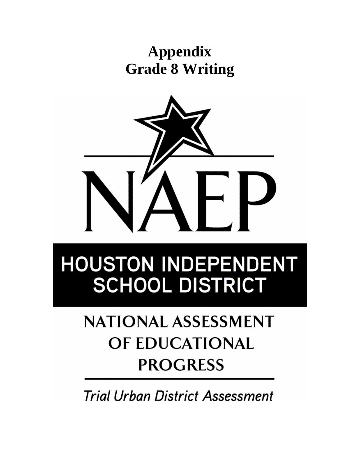## **Appendix Grade 8 Writing**



# **HOUSTON INDEPENDENT SCHOOL DISTRICT**

## **NATIONAL ASSESSMENT** OF EDUCATIONAL **PROGRESS**

**Trial Urban District Assessment**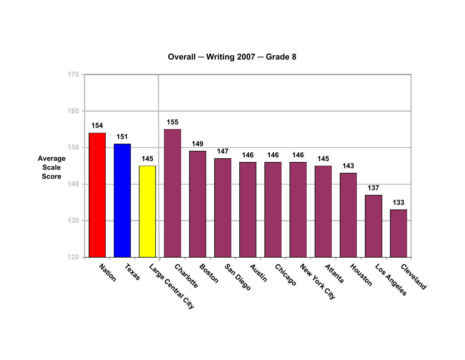**Overall ─ Writing 2007 ─ Grade 8**

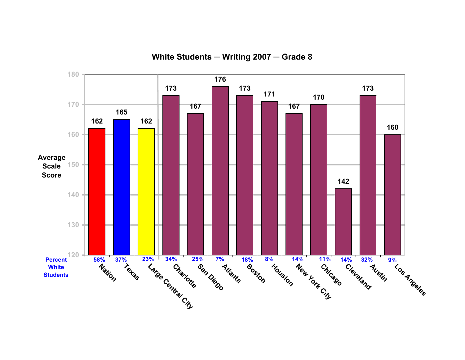

**White Students ─ Writing 2007 ─ Grade 8**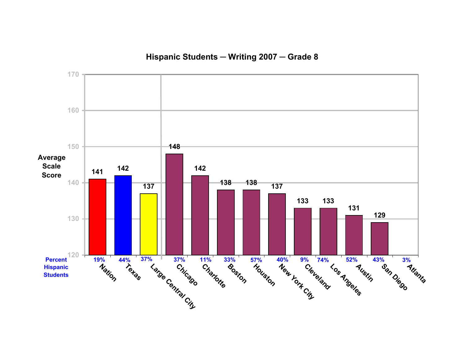### **Hispanic Students ─ Writing 2007 ─ Grade 8**

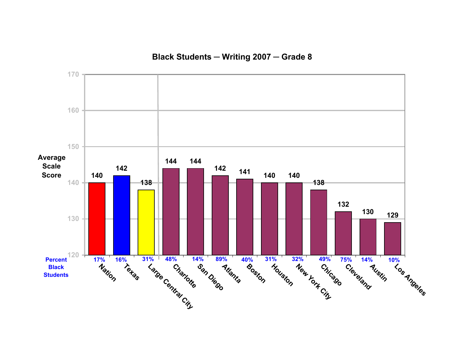### **Black Students ─ Writing 2007 ─ Grade 8**

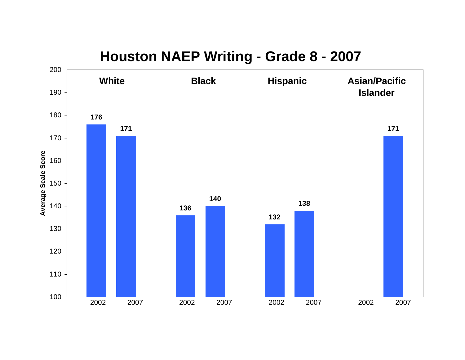

### **Houston NAEP Writing - Grade 8 - 2007**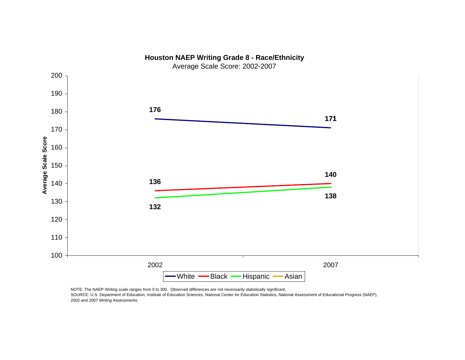

NOTE: The NAEP Writing scale ranges from 0 to 300. Observed differences are not necessarily statistically significant.

SOURCE: U.S. Department of Education, Institute of Education Sciences, National Center for Education Statistics, National Assessment of Educational Progress (NAEP), 2002 and 2007 Writing Assessments.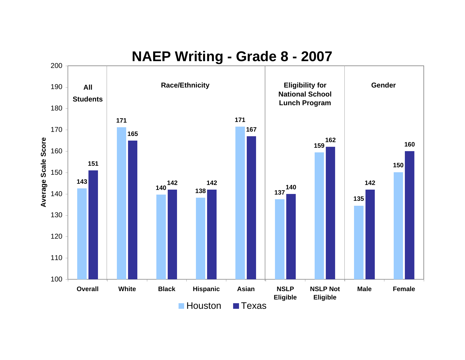### **NAEP Writing - Grade 8 - 2007**

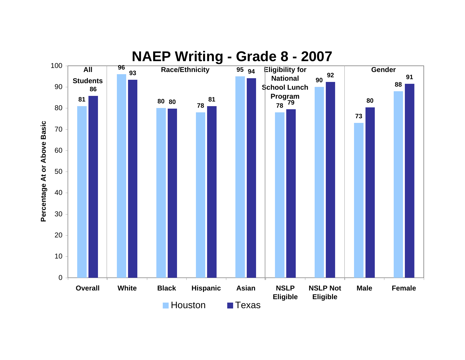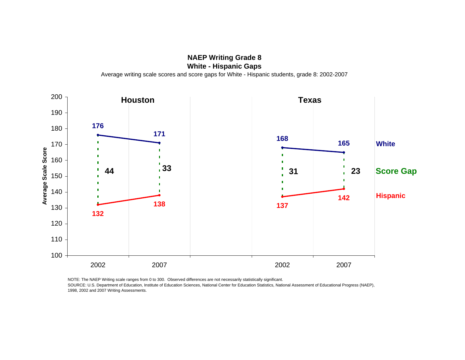**NAEP Writing Grade 8 White - Hispanic Gaps** Average writing scale scores and score gaps for White - Hispanic students, grade 8: 2002-2007



NOTE: The NAEP Writing scale ranges from 0 to 300. Observed differences are not necessarily statistically significant. SOURCE: U.S. Department of Education, Institute of Education Sciences, National Center for Education Statistics, National Assessment of Educational Progress (NAEP), 1998, 2002 and 2007 Writing Assessments.